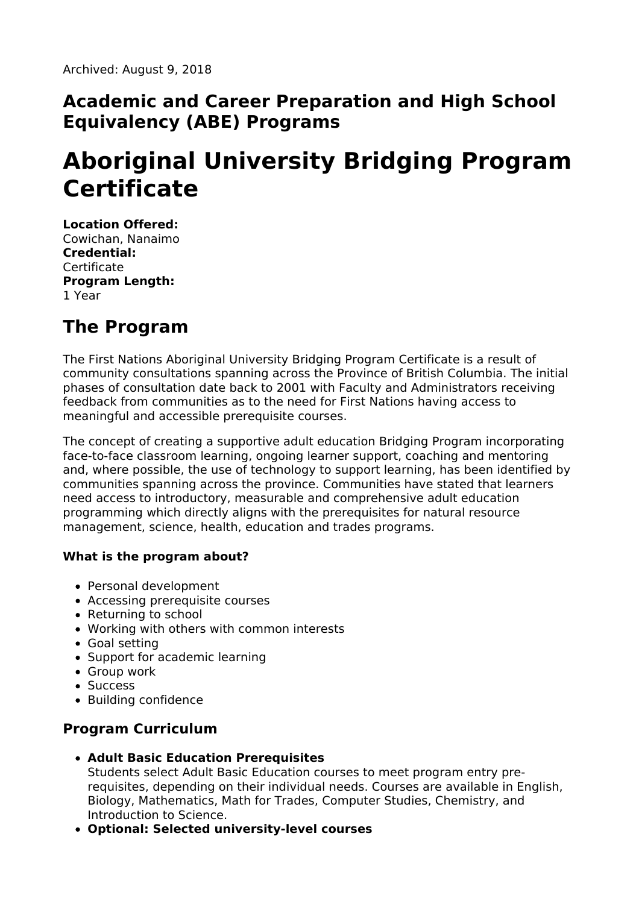## **Academic and Career Preparation and High School Equivalency (ABE) Programs**

# **Aboriginal University Bridging Program Certificate**

**Location Offered:** Cowichan, Nanaimo **Credential: Certificate Program Length:** 1 Year

# **The Program**

The First Nations Aboriginal University Bridging Program Certificate is a result of community consultations spanning across the Province of British Columbia. The initial phases of consultation date back to 2001 with Faculty and Administrators receiving feedback from communities as to the need for First Nations having access to meaningful and accessible prerequisite courses.

The concept of creating a supportive adult education Bridging Program incorporating face-to-face classroom learning, ongoing learner support, coaching and mentoring and, where possible, the use of technology to support learning, has been identified by communities spanning across the province. Communities have stated that learners need access to introductory, measurable and comprehensive adult education programming which directly aligns with the prerequisites for natural resource management, science, health, education and trades programs.

#### **What is the program about?**

- Personal development
- Accessing prerequisite courses
- Returning to school
- Working with others with common interests
- Goal setting
- Support for academic learning
- Group work
- Success
- Building confidence

### **Program Curriculum**

**Adult Basic Education Prerequisites**

Students select Adult Basic Education courses to meet program entry prerequisites, depending on their individual needs. Courses are available in English, Biology, Mathematics, Math for Trades, Computer Studies, Chemistry, and Introduction to Science.

**Optional: Selected university-level courses**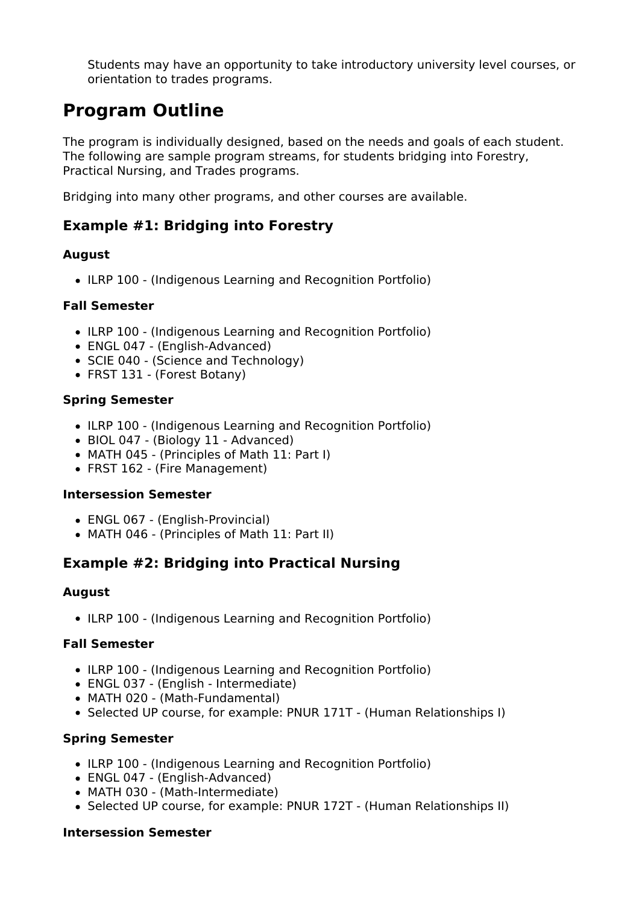Students may have an opportunity to take introductory university level courses, or orientation to trades programs.

# **Program Outline**

The program is individually designed, based on the needs and goals of each student. The following are sample program streams, for students bridging into Forestry, Practical Nursing, and Trades programs.

Bridging into many other programs, and other courses are available.

### **Example #1: Bridging into Forestry**

#### **August**

• ILRP 100 - (Indigenous Learning and Recognition Portfolio)

#### **Fall Semester**

- ILRP 100 (Indigenous Learning and Recognition Portfolio)
- ENGL 047 (English-Advanced)
- SCIE 040 (Science and Technology)
- FRST 131 (Forest Botany)

#### **Spring Semester**

- ILRP 100 (Indigenous Learning and Recognition Portfolio)
- BIOL 047 (Biology 11 Advanced)
- MATH 045 (Principles of Math 11: Part I)
- FRST 162 (Fire Management)

#### **Intersession Semester**

- ENGL 067 (English-Provincial)
- MATH 046 (Principles of Math 11: Part II)

### **Example #2: Bridging into Practical Nursing**

#### **August**

• ILRP 100 - (Indigenous Learning and Recognition Portfolio)

#### **Fall Semester**

- ILRP 100 (Indigenous Learning and Recognition Portfolio)
- ENGL 037 (English Intermediate)
- MATH 020 (Math-Fundamental)
- Selected UP course, for example: PNUR 171T (Human Relationships I)

#### **Spring Semester**

- ILRP 100 (Indigenous Learning and Recognition Portfolio)
- ENGL 047 (English-Advanced)
- MATH 030 (Math-Intermediate)
- Selected UP course, for example: PNUR 172T (Human Relationships II)

#### **Intersession Semester**